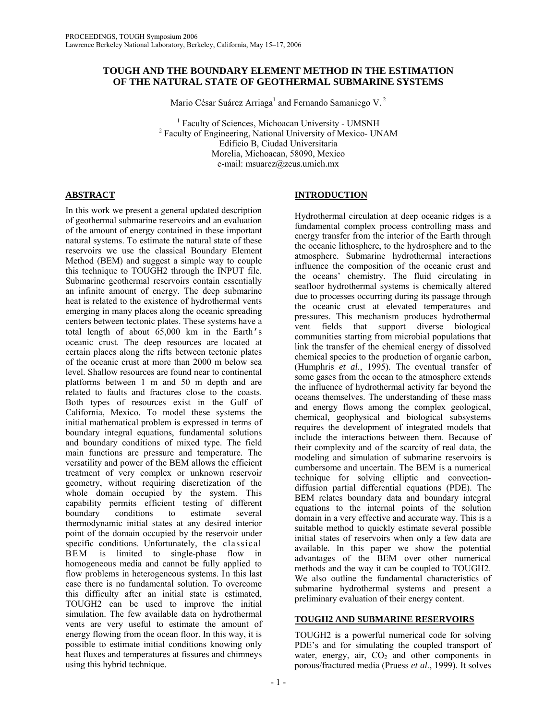# **TOUGH AND THE BOUNDARY ELEMENT METHOD IN THE ESTIMATION OF THE NATURAL STATE OF GEOTHERMAL SUBMARINE SYSTEMS**

Mario César Suárez Arriaga<sup>1</sup> and Fernando Samaniego V.<sup>2</sup>

<sup>1</sup> Faculty of Sciences, Michoacan University - UMSNH<br><sup>2</sup> Faculty of Engineering, National University of Maxico, UN Faculty of Engineering, National University of Mexico- UNAM Edificio B, Ciudad Universitaria Morelia, Michoacan, 58090, Mexico e-mail: msuarez@zeus.umich.mx

# **ABSTRACT**

In this work we present a general updated description of geothermal submarine reservoirs and an evaluation of the amount of energy contained in these important natural systems. To estimate the natural state of these reservoirs we use the classical Boundary Element Method (BEM) and suggest a simple way to couple this technique to TOUGH2 through the INPUT file. Submarine geothermal reservoirs contain essentially an infinite amount of energy. The deep submarine heat is related to the existence of hydrothermal vents emerging in many places along the oceanic spreading centers between tectonic plates. These systems have a total length of about 65,000 km in the Earth's oceanic crust. The deep resources are located at certain places along the rifts between tectonic plates of the oceanic crust at more than 2000 m below sea level. Shallow resources are found near to continental platforms between 1 m and 50 m depth and are related to faults and fractures close to the coasts. Both types of resources exist in the Gulf of California, Mexico. To model these systems the initial mathematical problem is expressed in terms of boundary integral equations, fundamental solutions and boundary conditions of mixed type. The field main functions are pressure and temperature. The versatility and power of the BEM allows the efficient treatment of very complex or unknown reservoir geometry, without requiring discretization of the whole domain occupied by the system. This capability permits efficient testing of different boundary conditions to estimate several thermodynamic initial states at any desired interior point of the domain occupied by the reservoir under specific conditions. Unfortunately, the classical BEM is limited to single-phase flow in homogeneous media and cannot be fully applied to flow problems in heterogeneous systems. In this last case there is no fundamental solution. To overcome this difficulty after an initial state is estimated, TOUGH2 can be used to improve the initial simulation. The few available data on hydrothermal vents are very useful to estimate the amount of energy flowing from the ocean floor. In this way, it is possible to estimate initial conditions knowing only heat fluxes and temperatures at fissures and chimneys using this hybrid technique.

# **INTRODUCTION**

Hydrothermal circulation at deep oceanic ridges is a fundamental complex process controlling mass and energy transfer from the interior of the Earth through the oceanic lithosphere, to the hydrosphere and to the atmosphere. Submarine hydrothermal interactions influence the composition of the oceanic crust and the oceans' chemistry. The fluid circulating in seafloor hydrothermal systems is chemically altered due to processes occurring during its passage through the oceanic crust at elevated temperatures and pressures. This mechanism produces hydrothermal vent fields that support diverse biological communities starting from microbial populations that link the transfer of the chemical energy of dissolved chemical species to the production of organic carbon, (Humphris *et al.*, 1995). The eventual transfer of some gases from the ocean to the atmosphere extends the influence of hydrothermal activity far beyond the oceans themselves. The understanding of these mass and energy flows among the complex geological, chemical, geophysical and biological subsystems requires the development of integrated models that include the interactions between them. Because of their complexity and of the scarcity of real data, the modeling and simulation of submarine reservoirs is cumbersome and uncertain. The BEM is a numerical technique for solving elliptic and convectiondiffusion partial differential equations (PDE). The BEM relates boundary data and boundary integral equations to the internal points of the solution domain in a very effective and accurate way. This is a suitable method to quickly estimate several possible initial states of reservoirs when only a few data are available. In this paper we show the potential advantages of the BEM over other numerical methods and the way it can be coupled to TOUGH2. We also outline the fundamental characteristics of submarine hydrothermal systems and present a preliminary evaluation of their energy content.

# **TOUGH2 AND SUBMARINE RESERVOIRS**

TOUGH2 is a powerful numerical code for solving PDE's and for simulating the coupled transport of water, energy, air,  $CO<sub>2</sub>$  and other components in porous/fractured media (Pruess *et al*., 1999). It solves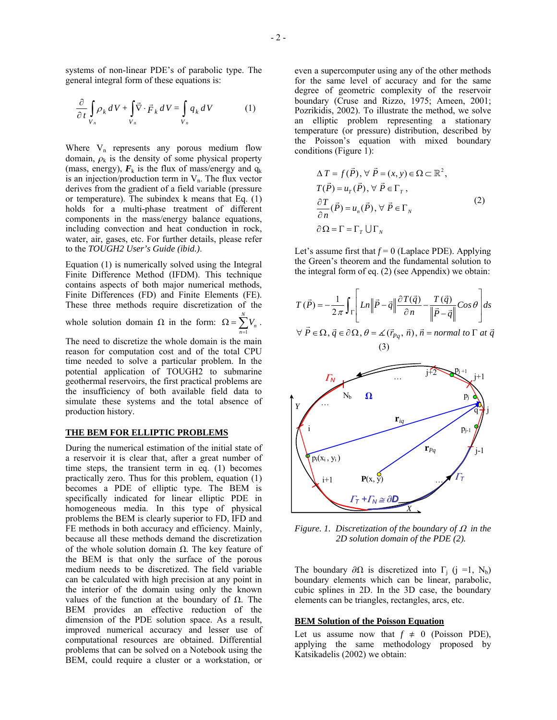systems of non-linear PDE's of parabolic type. The general integral form of these equations is:

$$
\frac{\partial}{\partial t} \int_{V_n} \rho_k \, dV + \int_{V_n} \vec{\nabla} \cdot \vec{F}_k \, dV = \int_{V_n} q_k \, dV \tag{1}
$$

Where  $V_n$  represents any porous medium flow domain,  $\rho_k$  is the density of some physical property (mass, energy),  $F_k$  is the flux of mass/energy and  $q_k$ is an injection/production term in  $V_n$ . The flux vector derives from the gradient of a field variable (pressure or temperature). The subindex k means that Eq. (1) holds for a multi-phase treatment of different components in the mass/energy balance equations, including convection and heat conduction in rock, water, air, gases, etc. For further details, please refer to the *TOUGH2 User's Guide (ibid.)*.

Equation (1) is numerically solved using the Integral Finite Difference Method (IFDM). This technique contains aspects of both major numerical methods, Finite Differences (FD) and Finite Elements (FE). These three methods require discretization of the

whole solution domain  $\Omega$  in the form:  $\Omega = \sum_{n=1}^{N}$ =1  $V_n$ . *n*

The need to discretize the whole domain is the main reason for computation cost and of the total CPU time needed to solve a particular problem. In the potential application of TOUGH2 to submarine geothermal reservoirs, the first practical problems are the insufficiency of both available field data to simulate these systems and the total absence of production history.

### **THE BEM FOR ELLIPTIC PROBLEMS**

During the numerical estimation of the initial state of a reservoir it is clear that, after a great number of time steps, the transient term in eq. (1) becomes practically zero. Thus for this problem, equation (1) becomes a PDE of elliptic type. The BEM is specifically indicated for linear elliptic PDE in homogeneous media. In this type of physical problems the BEM is clearly superior to FD, IFD and FE methods in both accuracy and efficiency. Mainly, because all these methods demand the discretization of the whole solution domain  $\Omega$ . The key feature of the BEM is that only the surface of the porous medium needs to be discretized. The field variable can be calculated with high precision at any point in the interior of the domain using only the known values of the function at the boundary of  $\Omega$ . The BEM provides an effective reduction of the dimension of the PDE solution space. As a result, improved numerical accuracy and lesser use of computational resources are obtained. Differential problems that can be solved on a Notebook using the BEM, could require a cluster or a workstation, or even a supercomputer using any of the other methods for the same level of accuracy and for the same degree of geometric complexity of the reservoir boundary (Cruse and Rizzo, 1975; Ameen, 2001; Pozrikidis, 2002). To illustrate the method, we solve an elliptic problem representing a stationary temperature (or pressure) distribution, described by the Poisson's equation with mixed boundary conditions (Figure 1):

$$
\Delta T = f(\vec{P}), \forall \vec{P} = (x, y) \in \Omega \subset \mathbb{R}^2,
$$
  
\n
$$
T(\vec{P}) = u_T(\vec{P}), \forall \vec{P} \in \Gamma_T,
$$
  
\n
$$
\frac{\partial T}{\partial n}(\vec{P}) = u_n(\vec{P}), \forall \vec{P} \in \Gamma_N
$$
  
\n
$$
\partial \Omega = \Gamma = \Gamma_T \cup \Gamma_N
$$
\n(2)

Let's assume first that  $f = 0$  (Laplace PDE). Applying the Green's theorem and the fundamental solution to the integral form of eq. (2) (see Appendix) we obtain:

$$
T(\vec{P}) = -\frac{1}{2\pi} \int_{\Gamma} \left[ Ln \left\| \vec{P} - \vec{q} \right\| \frac{\partial T(\vec{q})}{\partial n} - \frac{T(\vec{q})}{\left\| \vec{P} - \vec{q} \right\|} Cos \theta \right] ds
$$
  

$$
\forall \ \vec{P} \in \Omega, \ \vec{q} \in \partial \Omega, \ \theta = \angle (\vec{r}_{Pq}, \ \vec{n}), \ \vec{n} = normal \ to \ \Gamma \ at \ \vec{q}
$$
  
(3)



*Figure. 1. Discretization of the boundary of*  $\Omega$  *in the 2D solution domain of the PDE (2).* 

The boundary  $\partial \Omega$  is discretized into  $\Gamma_i$  (j =1, N<sub>b</sub>) boundary elements which can be linear, parabolic, cubic splines in 2D. In the 3D case, the boundary elements can be triangles, rectangles, arcs, etc.

### **BEM Solution of the Poisson Equation**

Let us assume now that  $f \neq 0$  (Poisson PDE), applying the same methodology proposed by Katsikadelis (2002) we obtain: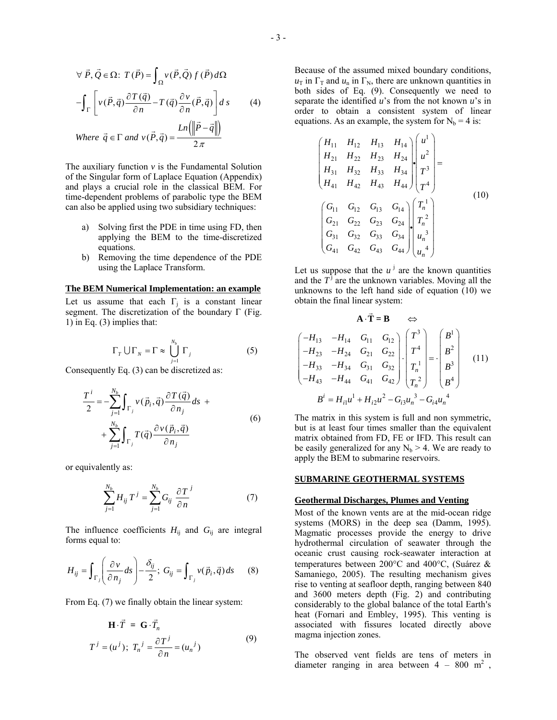$$
\forall \vec{P}, \vec{Q} \in \Omega: T(\vec{P}) = \int_{\Omega} v(\vec{P}, \vec{Q}) f(\vec{P}) d\Omega
$$

$$
-\int_{\Gamma} \left[ v(\vec{P}, \vec{q}) \frac{\partial T(\vec{q})}{\partial n} - T(\vec{q}) \frac{\partial v}{\partial n}(\vec{P}, \vec{q}) \right] ds \qquad (4)
$$
  
Where  $\vec{q} \in \Gamma$  and  $v(\vec{P}, \vec{q}) = \frac{Ln(\Vert \vec{P} - \vec{q} \Vert)}{2\pi}$ 

The auxiliary function  $\nu$  is the Fundamental Solution of the Singular form of Laplace Equation (Appendix) and plays a crucial role in the classical BEM. For time-dependent problems of parabolic type the BEM can also be applied using two subsidiary techniques:

- a) Solving first the PDE in time using FD, then applying the BEM to the time-discretized equations.
- b) Removing the time dependence of the PDE using the Laplace Transform.

#### **The BEM Numerical Implementation: an example**

Let us assume that each  $\Gamma_i$  is a constant linear segment. The discretization of the boundary  $\Gamma$  (Fig. 1) in Eq. (3) implies that:

$$
\Gamma_r \cup \Gamma_N = \Gamma \approx \bigcup_{j=1}^{N_b} \Gamma_j \tag{5}
$$

Consequently Eq. (3) can be discretized as:

$$
\frac{T^{i}}{2} = -\sum_{j=1}^{N_b} \int_{\Gamma_j} v(\vec{p}_i, \vec{q}) \frac{\partial T(\vec{q})}{\partial n_j} ds + \sum_{j=1}^{N_b} \int_{\Gamma_j} T(\vec{q}) \frac{\partial v(\vec{p}_i, \vec{q})}{\partial n_j}
$$
\n(6)

or equivalently as:

$$
\sum_{j=1}^{N_b} H_{ij} T^j = \sum_{j=1}^{N_b} G_{ij} \frac{\partial T^j}{\partial n}
$$
 (7)

The influence coefficients  $H_{ij}$  and  $G_{ij}$  are integral forms equal to:

$$
H_{ij} = \int_{\Gamma_j} \left( \frac{\partial v}{\partial n_j} ds \right) - \frac{\delta_{ij}}{2}; \ G_{ij} = \int_{\Gamma_j} v(\vec{p}_i, \vec{q}) ds \qquad (8)
$$

From Eq. (7) we finally obtain the linear system:

$$
\mathbf{H} \cdot \vec{T} = \mathbf{G} \cdot \vec{T}_n
$$
  

$$
T^j = (u^j); \ T_n^j = \frac{\partial T^j}{\partial n} = (u_n^j)
$$
 (9)

Because of the assumed mixed boundary conditions,  $u_{\text{I}}$  in  $\Gamma_{\text{I}}$  and  $u_{\text{n}}$  in  $\Gamma_{\text{N}}$ , there are unknown quantities in both sides of Eq. (9). Consequently we need to separate the identified *u*'s from the not known *u*'s in order to obtain a consistent system of linear equations. As an example, the system for  $N_b = 4$  is:

$$
\begin{pmatrix}\nH_{11} & H_{12} & H_{13} & H_{14} \\
H_{21} & H_{22} & H_{23} & H_{24} \\
H_{31} & H_{32} & H_{33} & H_{34} \\
H_{41} & H_{42} & H_{43} & H_{44}\n\end{pmatrix}\n\begin{pmatrix}\nu^{1} \\
u^{2} \\
r^{3} \\
r^{4}\n\end{pmatrix} =
$$
\n(10)  
\n
$$
\begin{pmatrix}\nG_{11} & G_{12} & G_{13} & G_{14} \\
G_{21} & G_{22} & G_{23} & G_{24} \\
G_{31} & G_{32} & G_{33} & G_{34} \\
G_{41} & G_{42} & G_{43} & G_{44}\n\end{pmatrix}\n\begin{pmatrix}\nT_{n}^{1} \\
T_{n}^{2} \\
u_{n}^{3} \\
u_{n}^{4}\n\end{pmatrix}
$$

Let us suppose that the  $u^j$  are the known quantities and the  $T<sup>j</sup>$  are the unknown variables. Moving all the unknowns to the left hand side of equation (10) we obtain the final linear system:

$$
\mathbf{A} \cdot \vec{\mathbf{T}} = \mathbf{B} \Leftrightarrow
$$
\n
$$
\begin{pmatrix}\n-H_{13} & -H_{14} & G_{11} & G_{12} \\
-H_{23} & -H_{24} & G_{21} & G_{22} \\
-H_{33} & -H_{34} & G_{31} & G_{32} \\
-H_{43} & -H_{44} & G_{41} & G_{42}\n\end{pmatrix} \cdot \begin{pmatrix}\nT^3 \\
T^4 \\
T_n^1 \\
T_n^2\n\end{pmatrix} = \cdot \begin{pmatrix}\nB^1 \\
B^2 \\
B^3 \\
B^4\n\end{pmatrix}
$$
\n(11)\n
$$
B^i = H_{i1}u^1 + H_{i2}u^2 - G_{i3}u_n^3 - G_{i4}u_n^4
$$

The matrix in this system is full and non symmetric, but is at least four times smaller than the equivalent matrix obtained from FD, FE or IFD. This result can be easily generalized for any  $N_b > 4$ . We are ready to apply the BEM to submarine reservoirs.

### **SUBMARINE GEOTHERMAL SYSTEMS**

### **Geothermal Discharges, Plumes and Venting**

Most of the known vents are at the mid-ocean ridge systems (MORS) in the deep sea (Damm, 1995). Magmatic processes provide the energy to drive hydrothermal circulation of seawater through the oceanic crust causing rock-seawater interaction at temperatures between 200°C and 400°C, (Suárez & Samaniego, 2005). The resulting mechanism gives rise to venting at seafloor depth, ranging between 840 and 3600 meters depth (Fig. 2) and contributing considerably to the global balance of the total Earth's heat (Fornari and Embley, 1995). This venting is associated with fissures located directly above magma injection zones.

The observed vent fields are tens of meters in diameter ranging in area between  $4 - 800 \text{ m}^2$ ,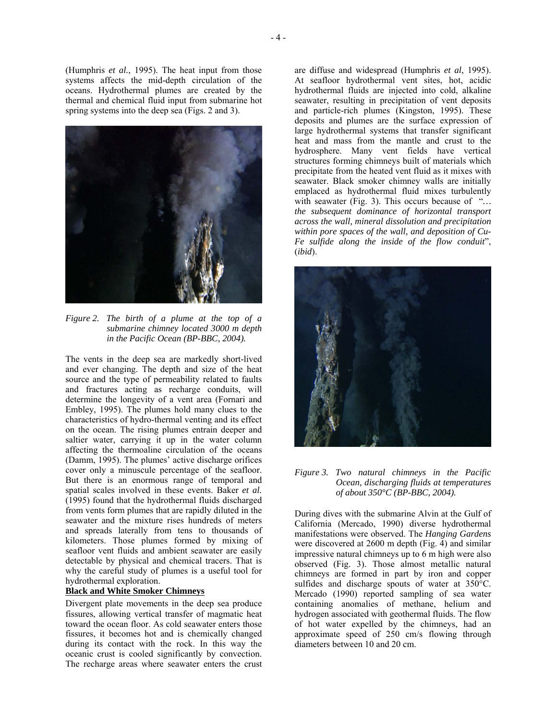(Humphris *et al.*, 1995). The heat input from those systems affects the mid-depth circulation of the oceans. Hydrothermal plumes are created by the thermal and chemical fluid input from submarine hot spring systems into the deep sea (Figs. 2 and 3).



*Figure 2. The birth of a plume at the top of a submarine chimney located 3000 m depth in the Pacific Ocean (BP-BBC, 2004).* 

The vents in the deep sea are markedly short-lived and ever changing. The depth and size of the heat source and the type of permeability related to faults and fractures acting as recharge conduits, will determine the longevity of a vent area (Fornari and Embley, 1995). The plumes hold many clues to the characteristics of hydro-thermal venting and its effect on the ocean. The rising plumes entrain deeper and saltier water, carrying it up in the water column affecting the thermoaline circulation of the oceans (Damm, 1995). The plumes' active discharge orifices cover only a minuscule percentage of the seafloor. But there is an enormous range of temporal and spatial scales involved in these events. Baker *et al.* (1995) found that the hydrothermal fluids discharged from vents form plumes that are rapidly diluted in the seawater and the mixture rises hundreds of meters and spreads laterally from tens to thousands of kilometers. Those plumes formed by mixing of seafloor vent fluids and ambient seawater are easily detectable by physical and chemical tracers. That is why the careful study of plumes is a useful tool for hydrothermal exploration.

## **Black and White Smoker Chimneys**

Divergent plate movements in the deep sea produce fissures, allowing vertical transfer of magmatic heat toward the ocean floor. As cold seawater enters those fissures, it becomes hot and is chemically changed during its contact with the rock. In this way the oceanic crust is cooled significantly by convection. The recharge areas where seawater enters the crust

are diffuse and widespread (Humphris *et al*, 1995). At seafloor hydrothermal vent sites, hot, acidic hydrothermal fluids are injected into cold, alkaline seawater, resulting in precipitation of vent deposits and particle-rich plumes (Kingston, 1995). These deposits and plumes are the surface expression of large hydrothermal systems that transfer significant heat and mass from the mantle and crust to the hydrosphere. Many vent fields have vertical structures forming chimneys built of materials which precipitate from the heated vent fluid as it mixes with seawater. Black smoker chimney walls are initially emplaced as hydrothermal fluid mixes turbulently with seawater (Fig. 3). This occurs because of "*… the subsequent dominance of horizontal transport across the wall, mineral dissolution and precipitation within pore spaces of the wall, and deposition of Cu-Fe sulfide along the inside of the flow conduit*", (*ibid*).



## *Figure 3. Two natural chimneys in the Pacific Ocean, discharging fluids at temperatures of about 350°C (BP-BBC, 2004).*

During dives with the submarine Alvin at the Gulf of California (Mercado, 1990) diverse hydrothermal manifestations were observed. The *Hanging Gardens* were discovered at 2600 m depth (Fig. 4) and similar impressive natural chimneys up to 6 m high were also observed (Fig. 3). Those almost metallic natural chimneys are formed in part by iron and copper sulfides and discharge spouts of water at 350°C. Mercado (1990) reported sampling of sea water containing anomalies of methane, helium and hydrogen associated with geothermal fluids. The flow of hot water expelled by the chimneys, had an approximate speed of 250 cm/s flowing through diameters between 10 and 20 cm.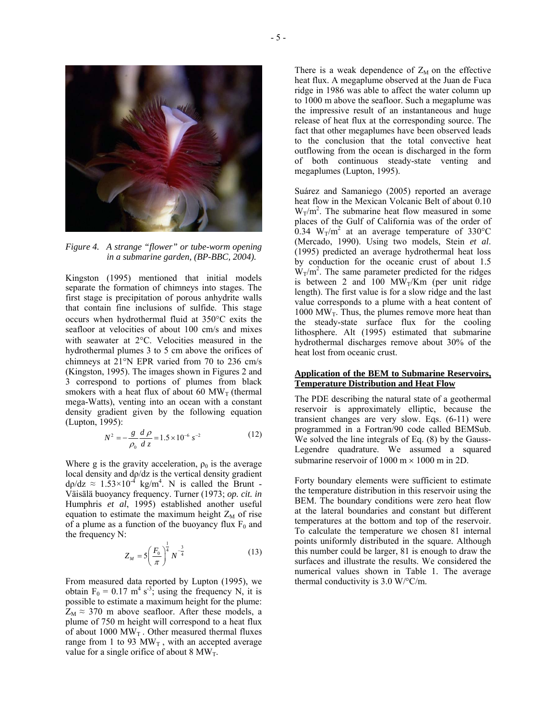

*Figure 4. A strange "flower" or tube-worm opening in a submarine garden, (BP-BBC, 2004).* 

Kingston (1995) mentioned that initial models separate the formation of chimneys into stages. The first stage is precipitation of porous anhydrite walls that contain fine inclusions of sulfide. This stage occurs when hydrothermal fluid at 350°C exits the seafloor at velocities of about 100 cm/s and mixes with seawater at 2°C. Velocities measured in the hydrothermal plumes 3 to 5 cm above the orifices of chimneys at 21°N EPR varied from 70 to 236 cm/s (Kingston, 1995). The images shown in Figures 2 and 3 correspond to portions of plumes from black smokers with a heat flux of about 60  $MW_T$  (thermal mega-Watts), venting into an ocean with a constant density gradient given by the following equation (Lupton, 1995):

$$
N^2 = -\frac{g}{\rho_0} \frac{d\rho}{dz} = 1.5 \times 10^{-6} \text{ s}^{-2}
$$
 (12)

Where g is the gravity acceleration,  $\rho_0$  is the average local density and dρ/dz is the vertical density gradient  $d\rho/dz \approx 1.53 \times 10^{-4}$  kg/m<sup>4</sup>. N is called the Brunt -Väisälä buoyancy frequency. Turner (1973; *op. cit. in* Humphris *et al*, 1995) established another useful equation to estimate the maximum height  $Z_M$  of rise of a plume as a function of the buoyancy flux  $F_0$  and the frequency N:

$$
Z_M = 5 \left( \frac{F_0}{\pi} \right)^{\frac{1}{4}} N^{-\frac{3}{4}} \tag{13}
$$

From measured data reported by Lupton (1995), we obtain  $F_0 = 0.17 \text{ m}^4 \text{ s}^{-3}$ ; using the frequency N, it is possible to estimate a maximum height for the plume:  $Z_M \approx 370$  m above seafloor. After these models, a plume of 750 m height will correspond to a heat flux of about 1000  $\text{MW}_{\text{T}}$  . Other measured thermal fluxes range from 1 to 93  $MW_T$ , with an accepted average value for a single orifice of about 8  $MW_T$ .

There is a weak dependence of  $Z_M$  on the effective heat flux. A megaplume observed at the Juan de Fuca ridge in 1986 was able to affect the water column up to 1000 m above the seafloor. Such a megaplume was the impressive result of an instantaneous and huge release of heat flux at the corresponding source. The fact that other megaplumes have been observed leads to the conclusion that the total convective heat outflowing from the ocean is discharged in the form of both continuous steady-state venting and megaplumes (Lupton, 1995).

Suárez and Samaniego (2005) reported an average heat flow in the Mexican Volcanic Belt of about 0.10  $W_T/m^2$ . The submarine heat flow measured in some places of the Gulf of California was of the order of  $0.34 \text{ W}_T/m^2$  at an average temperature of 330°C (Mercado, 1990). Using two models, Stein *et al*. (1995) predicted an average hydrothermal heat loss by conduction for the oceanic crust of about 1.5  $W_T/m^2$ . The same parameter predicted for the ridges is between 2 and 100  $MW_T/Km$  (per unit ridge length). The first value is for a slow ridge and the last value corresponds to a plume with a heat content of 1000 MW<sub>T</sub>. Thus, the plumes remove more heat than the steady-state surface flux for the cooling lithosphere. Alt (1995) estimated that submarine hydrothermal discharges remove about 30% of the heat lost from oceanic crust.

### **Application of the BEM to Submarine Reservoirs, Temperature Distribution and Heat Flow**

The PDE describing the natural state of a geothermal reservoir is approximately elliptic, because the transient changes are very slow. Eqs. (6-11) were programmed in a Fortran/90 code called BEMSub. We solved the line integrals of Eq. (8) by the Gauss-Legendre quadrature. We assumed a squared submarine reservoir of 1000 m  $\times$  1000 m in 2D.

Forty boundary elements were sufficient to estimate the temperature distribution in this reservoir using the BEM. The boundary conditions were zero heat flow at the lateral boundaries and constant but different temperatures at the bottom and top of the reservoir. To calculate the temperature we chosen 81 internal points uniformly distributed in the square. Although this number could be larger, 81 is enough to draw the surfaces and illustrate the results. We considered the numerical values shown in Table 1. The average thermal conductivity is 3.0 W/°C/m.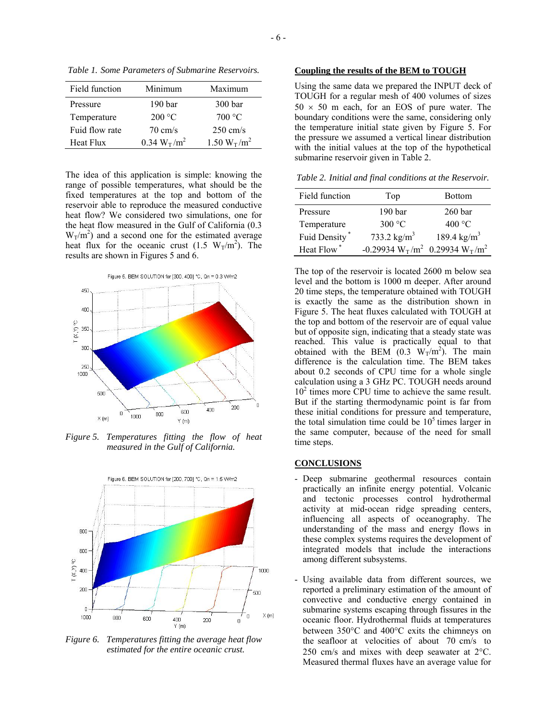| Field function | Minimum                                | Maximum            |
|----------------|----------------------------------------|--------------------|
| Pressure       | 190 <sub>bar</sub>                     | 300 bar            |
| Temperature    | 200 °C                                 | 700 °C             |
| Fuid flow rate | $70 \text{ cm/s}$                      | $250 \text{ cm/s}$ |
| Heat Flux      | $0.34 \text{ W}_{\text{T}}/\text{m}^2$ | $1.50 W_T/m^2$     |

*Table 1. Some Parameters of Submarine Reservoirs.* 

The idea of this application is simple: knowing the range of possible temperatures, what should be the fixed temperatures at the top and bottom of the reservoir able to reproduce the measured conductive heat flow? We considered two simulations, one for the heat flow measured in the Gulf of California (0.3  $W_T/m^2$ ) and a second one for the estimated average heat flux for the oceanic crust  $(1.5 \text{ W}_T/m^2)$ . The results are shown in Figures 5 and 6.



*Figure 5. Temperatures fitting the flow of heat measured in the Gulf of California.* 



*Figure 6. Temperatures fitting the average heat flow estimated for the entire oceanic crust.* 

# **Coupling the results of the BEM to TOUGH**

Using the same data we prepared the INPUT deck of TOUGH for a regular mesh of 400 volumes of sizes  $50 \times 50$  m each, for an EOS of pure water. The boundary conditions were the same, considering only the temperature initial state given by Figure 5. For the pressure we assumed a vertical linear distribution with the initial values at the top of the hypothetical submarine reservoir given in Table 2.

*Table 2. Initial and final conditions at the Reservoir.* 

| Field function   | Top                                                                            | <b>Bottom</b>         |
|------------------|--------------------------------------------------------------------------------|-----------------------|
| Pressure         | 190 <sub>bar</sub>                                                             | 260 <sub>bar</sub>    |
|                  |                                                                                |                       |
| Temperature      | 300 °C                                                                         | 400 °C                |
| Fuid Density*    | 733.2 $\text{kg/m}^3$                                                          | 189.4 $\text{kg/m}^3$ |
| <b>Heat Flow</b> | -0.29934 W <sub>T</sub> /m <sup>2</sup> 0.29934 W <sub>T</sub> /m <sup>2</sup> |                       |

The top of the reservoir is located 2600 m below sea level and the bottom is 1000 m deeper. After around 20 time steps, the temperature obtained with TOUGH is exactly the same as the distribution shown in Figure 5. The heat fluxes calculated with TOUGH at the top and bottom of the reservoir are of equal value but of opposite sign, indicating that a steady state was reached. This value is practically equal to that obtained with the BEM  $(0.3 \text{ W}_T/m^2)$ . The main difference is the calculation time. The BEM takes about 0.2 seconds of CPU time for a whole single calculation using a 3 GHz PC. TOUGH needs around 10<sup>2</sup> times more CPU time to achieve the same result. But if the starting thermodynamic point is far from these initial conditions for pressure and temperature, the total simulation time could be  $10<sup>5</sup>$  times larger in the same computer, because of the need for small time steps.

## **CONCLUSIONS**

- Deep submarine geothermal resources contain practically an infinite energy potential. Volcanic and tectonic processes control hydrothermal activity at mid-ocean ridge spreading centers, influencing all aspects of oceanography. The understanding of the mass and energy flows in these complex systems requires the development of integrated models that include the interactions among different subsystems.
- Using available data from different sources, we reported a preliminary estimation of the amount of convective and conductive energy contained in submarine systems escaping through fissures in the oceanic floor. Hydrothermal fluids at temperatures between 350°C and 400°C exits the chimneys on the seafloor at velocities of about 70 cm/s to 250 cm/s and mixes with deep seawater at 2°C. Measured thermal fluxes have an average value for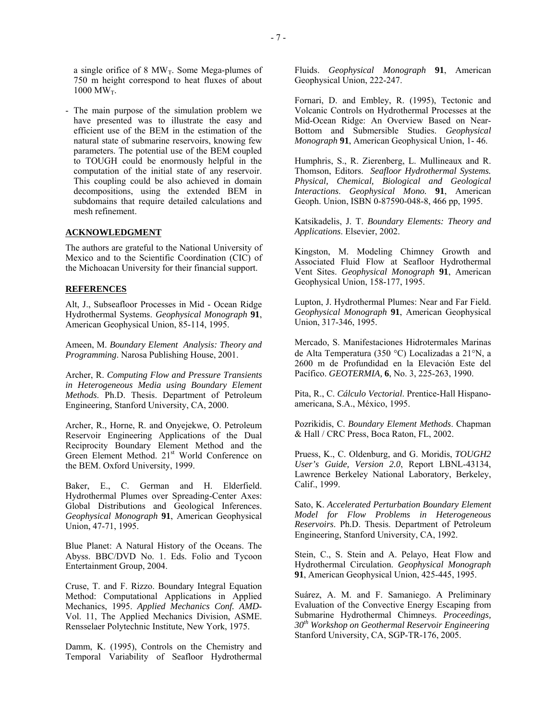a single orifice of 8  $MW_T$ . Some Mega-plumes of 750 m height correspond to heat fluxes of about  $1000 \text{ MW}_T$ .

- The main purpose of the simulation problem we have presented was to illustrate the easy and efficient use of the BEM in the estimation of the natural state of submarine reservoirs, knowing few parameters. The potential use of the BEM coupled to TOUGH could be enormously helpful in the computation of the initial state of any reservoir. This coupling could be also achieved in domain decompositions, using the extended BEM in subdomains that require detailed calculations and mesh refinement.

### **ACKNOWLEDGMENT**

The authors are grateful to the National University of Mexico and to the Scientific Coordination (CIC) of the Michoacan University for their financial support.

### **REFERENCES**

Alt, J., Subseafloor Processes in Mid - Ocean Ridge Hydrothermal Systems. *Geophysical Monograph* **91**, American Geophysical Union, 85-114, 1995.

Ameen, M. *Boundary Element Analysis: Theory and Programming*. Narosa Publishing House, 2001.

Archer, R. *Computing Flow and Pressure Transients in Heterogeneous Media using Boundary Element Methods*. Ph.D. Thesis. Department of Petroleum Engineering, Stanford University, CA, 2000.

Archer, R., Horne, R. and Onyejekwe, O. Petroleum Reservoir Engineering Applications of the Dual Reciprocity Boundary Element Method and the Green Element Method. 21<sup>st</sup> World Conference on the BEM. Oxford University, 1999.

Baker, E., C. German and H. Elderfield. Hydrothermal Plumes over Spreading-Center Axes: Global Distributions and Geological Inferences. *Geophysical Monograph* **91**, American Geophysical Union, 47-71, 1995.

Blue Planet: A Natural History of the Oceans. The Abyss. BBC/DVD No. 1. Eds. Folio and Tycoon Entertainment Group, 2004.

Cruse, T. and F. Rizzo. Boundary Integral Equation Method: Computational Applications in Applied Mechanics, 1995. *Applied Mechanics Conf. AMD*-Vol. 11, The Applied Mechanics Division, ASME. Rensselaer Polytechnic Institute, New York, 1975.

Damm, K. (1995), Controls on the Chemistry and Temporal Variability of Seafloor Hydrothermal Fluids. *Geophysical Monograph* **91**, American Geophysical Union, 222-247.

Fornari, D. and Embley, R. (1995), Tectonic and Volcanic Controls on Hydrothermal Processes at the Mid-Ocean Ridge: An Overview Based on Near-Bottom and Submersible Studies. *Geophysical Monograph* **91**, American Geophysical Union, 1- 46.

Humphris, S., R. Zierenberg, L. Mullineaux and R. Thomson, Editors. *Seafloor Hydrothermal Systems. Physical, Chemical, Biological and Geological Interactions*. *Geophysical Mono.* **91**, American Geoph. Union, ISBN 0-87590-048-8, 466 pp, 1995.

Katsikadelis, J. T. *Boundary Elements: Theory and Applications*. Elsevier, 2002.

Kingston, M. Modeling Chimney Growth and Associated Fluid Flow at Seafloor Hydrothermal Vent Sites. *Geophysical Monograph* **91**, American Geophysical Union, 158-177, 1995.

Lupton, J. Hydrothermal Plumes: Near and Far Field. *Geophysical Monograph* **91**, American Geophysical Union, 317-346, 1995.

Mercado, S. Manifestaciones Hidrotermales Marinas de Alta Temperatura (350 °C) Localizadas a 21°N, a 2600 m de Profundidad en la Elevación Este del Pacífico. *GEOTERMIA,* **6**, No. 3, 225-263, 1990.

Pita, R., C. *Cálculo Vectorial*. Prentice-Hall Hispanoamericana, S.A., México, 1995.

Pozrikidis, C. *Boundary Element Methods*. Chapman & Hall / CRC Press, Boca Raton, FL, 2002.

Pruess, K., C. Oldenburg, and G. Moridis, *TOUGH2 User's Guide, Version 2.0*, Report LBNL-43134, Lawrence Berkeley National Laboratory, Berkeley, Calif., 1999.

Sato, K. *Accelerated Perturbation Boundary Element Model for Flow Problems in Heterogeneous Reservoirs*. Ph.D. Thesis. Department of Petroleum Engineering, Stanford University, CA, 1992.

Stein, C., S. Stein and A. Pelayo, Heat Flow and Hydrothermal Circulation. *Geophysical Monograph* **91**, American Geophysical Union, 425-445, 1995.

Suárez, A. M. and F. Samaniego. A Preliminary Evaluation of the Convective Energy Escaping from Submarine Hydrothermal Chimneys. *Proceedings, 30th Workshop on Geothermal Reservoir Engineering* Stanford University, CA, SGP-TR-176, 2005.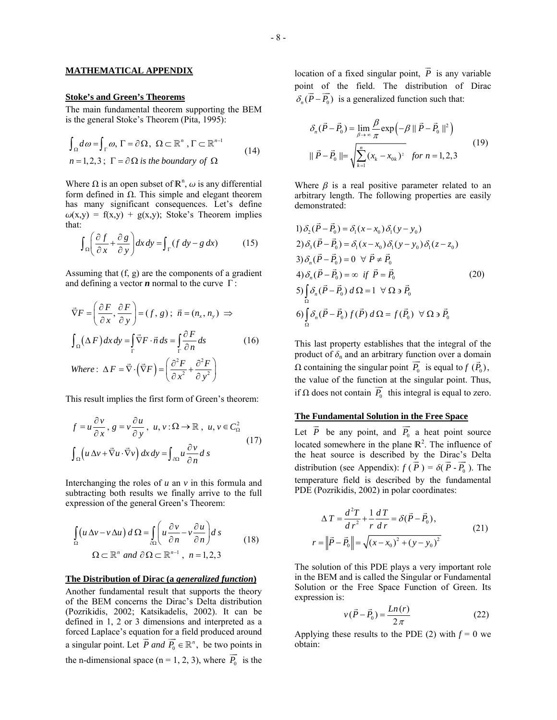## **MATHEMATICAL APPENDIX**

#### **Stoke's and Green's Theorems**

The main fundamental theorem supporting the BEM is the general Stoke's Theorem (Pita, 1995):

$$
\int_{\Omega} d\omega = \int_{\Gamma} \omega, \Gamma = \partial \Omega, \ \Omega \subset \mathbb{R}^{n}, \Gamma \subset \mathbb{R}^{n-1}
$$
\n
$$
n = 1, 2, 3; \ \Gamma = \partial \Omega \text{ is the boundary of } \Omega
$$
\n
$$
(14)
$$

Where  $\Omega$  is an open subset of  $\mathbb{R}^n$ ,  $\omega$  is any differential form defined in  $\Omega$ . This simple and elegant theorem has many significant consequences. Let's define  $\omega(x,y) = f(x,y) + g(x,y)$ ; Stoke's Theorem implies that:

$$
\int_{\Omega} \left( \frac{\partial f}{\partial x} + \frac{\partial g}{\partial y} \right) dx \, dy = \int_{\Gamma} (f \, dy - g \, dx) \tag{15}
$$

Assuming that (f, g) are the components of a gradient and defining a vector  $n$  normal to the curve  $\Gamma$ :

$$
\vec{\nabla}F = \left(\frac{\partial F}{\partial x}, \frac{\partial F}{\partial y}\right) = (f, g); \ \vec{n} = (n_x, n_y) \implies
$$
\n
$$
\int_{\Omega} (\Delta F) dx dy = \int_{\Gamma} \vec{\nabla} F \cdot \vec{n} ds = \int_{\Gamma} \frac{\partial F}{\partial n} ds \qquad (16)
$$
\nWhere:  $\Delta F = \vec{\nabla} \cdot (\vec{\nabla} F) = \left(\frac{\partial^2 F}{\partial x^2} + \frac{\partial^2 F}{\partial y^2}\right)$ 

This result implies the first form of Green's theorem:

$$
f = u \frac{\partial v}{\partial x}, g = v \frac{\partial u}{\partial y}, u, v : \Omega \to \mathbb{R}, u, v \in C_{\Omega}^{2}
$$
  

$$
\int_{\Omega} \left( u \Delta v + \vec{\nabla} u \cdot \vec{\nabla} v \right) dx dy = \int_{\partial \Omega} u \frac{\partial v}{\partial n} ds
$$
 (17)

Interchanging the roles of *u* an *v* in this formula and subtracting both results we finally arrive to the full expression of the general Green's Theorem:

$$
\int_{\Omega} \left( u \Delta v - v \Delta u \right) d\Omega = \int_{\partial \Omega} \left( u \frac{\partial v}{\partial n} - v \frac{\partial u}{\partial n} \right) ds
$$
\n
$$
\Omega \subset \mathbb{R}^n \text{ and } \partial \Omega \subset \mathbb{R}^{n-1}, \ n = 1, 2, 3
$$
\n(18)

#### **The Distribution of Dirac (a** *generalized function***)**

Another fundamental result that supports the theory of the BEM concerns the Dirac's Delta distribution (Pozrikidis, 2002; Katsikadelis, 2002). It can be defined in 1, 2 or 3 dimensions and interpreted as a forced Laplace's equation for a field produced around a singular point. Let  $\vec{P}$  and  $\vec{P}_0 \in \mathbb{R}^n$ , be two points in the n-dimensional space ( $n = 1, 2, 3$ ), where  $P_0$  $\overline{\phantom{a}}$  $P_0$  is the

location of a fixed singular point,  $P$  is any variable point of the field. The distribution of Dirac  $\overline{\phantom{a}}$ *P*  $\delta_n(\vec{P} - \vec{P_0})$  is a generalized function such that:

$$
\delta_n(\vec{P} - \vec{P}_0) = \lim_{\beta \to \infty} \frac{\beta}{\pi} \exp\left(-\beta \|\vec{P} - \vec{P}_0\|^2\right)
$$
  

$$
\|\vec{P} - \vec{P}_0\| = \sqrt{\sum_{k=1}^n (x_k - x_{0k})^2} \quad \text{for } n = 1, 2, 3
$$
 (19)

Where  $\beta$  is a real positive parameter related to an arbitrary length. The following properties are easily demonstrated:

1) 
$$
\delta_2(\vec{P} - \vec{P}_0) = \delta_1(x - x_0) \delta_1(y - y_0)
$$
  
\n2)  $\delta_3(\vec{P} - \vec{P}_0) = \delta_1(x - x_0) \delta_1(y - y_0) \delta_1(z - z_0)$   
\n3)  $\delta_n(\vec{P} - \vec{P}_0) = 0 \quad \forall \ \vec{P} \neq \vec{P}_0$   
\n4)  $\delta_n(\vec{P} - \vec{P}_0) = \infty \quad \text{if} \ \vec{P} = \vec{P}_0$   
\n5)  $\int_{\Omega} \delta_n(\vec{P} - \vec{P}_0) d\Omega = 1 \quad \forall \ \Omega \ni \vec{P}_0$   
\n6)  $\int_{\Omega} \delta_n(\vec{P} - \vec{P}_0) f(\vec{P}) d\Omega = f(\vec{P}_0) \quad \forall \ \Omega \ni \vec{P}_0$ 

This last property establishes that the integral of the product of  $\delta_n$  and an arbitrary function over a domain  $\Omega$  containing the singular point  $P_0$  is equal to  $f(P_0)$ , the value of the function at the singular point. Thus, if  $\Omega$  does not contain  $P_0$  this integral is equal to zero.

## **The Fundamental Solution in the Free Space**  JJG

Let  $\overrightarrow{P}$  be any point, and  $\overrightarrow{P_0}$  a heat point source located somewhere in the plane  $\mathbb{R}^2$ . The influence of *P* the heat source is described by the Dirac's Delta distribution (see Appendix):  $f(\vec{P}) = \delta(\vec{P} \cdot \vec{P_0})$ . The temperature field is described by the fundamental PDE (Pozrikidis, 2002) in polar coordinates:

$$
\Delta T = \frac{d^2 T}{dr^2} + \frac{1}{r} \frac{dT}{dr} = \delta(\vec{P} - \vec{P}_0),
$$
  
\n
$$
r = ||\vec{P} - \vec{P}_0|| = \sqrt{(x - x_0)^2 + (y - y_0)^2}
$$
\n(21)

The solution of this PDE plays a very important role in the BEM and is called the Singular or Fundamental Solution or the Free Space Function of Green. Its expression is:

$$
v(\vec{P} - \vec{P}_0) = \frac{Ln(r)}{2\pi}
$$
 (22)

Applying these results to the PDE (2) with  $f = 0$  we obtain: